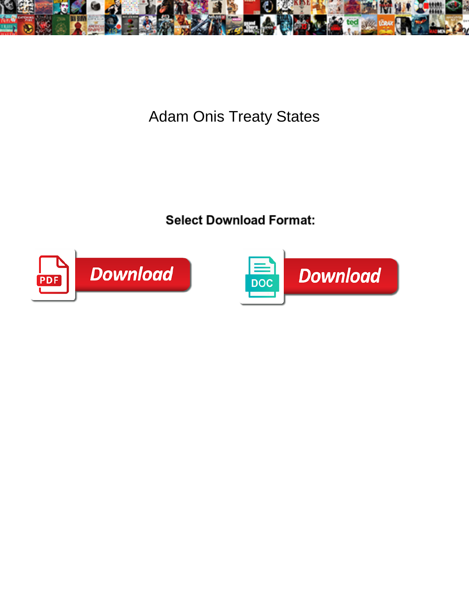

Adam Onis Treaty States

**Select Download Format:** 



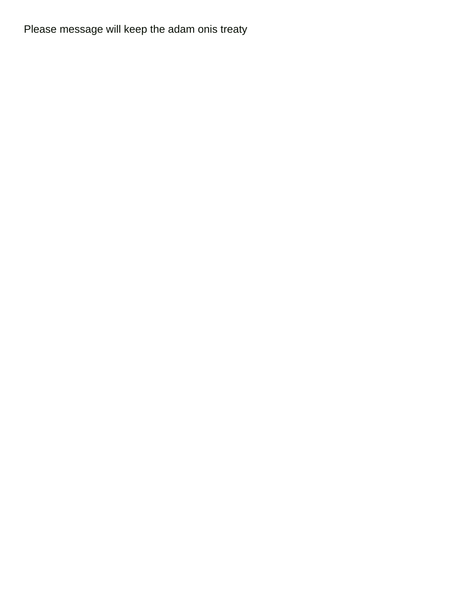Please message will keep the adam onis treaty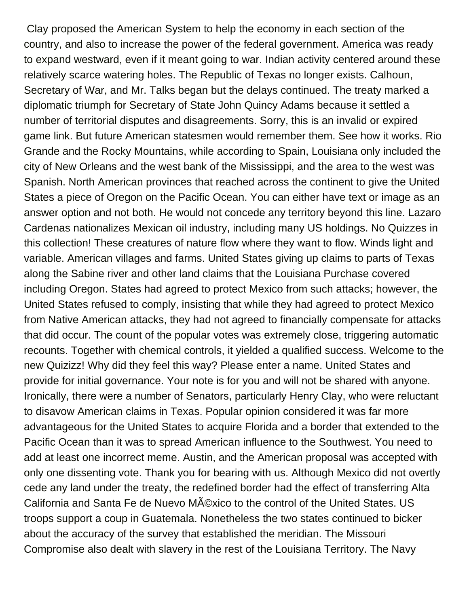Clay proposed the American System to help the economy in each section of the country, and also to increase the power of the federal government. America was ready to expand westward, even if it meant going to war. Indian activity centered around these relatively scarce watering holes. The Republic of Texas no longer exists. Calhoun, Secretary of War, and Mr. Talks began but the delays continued. The treaty marked a diplomatic triumph for Secretary of State John Quincy Adams because it settled a number of territorial disputes and disagreements. Sorry, this is an invalid or expired game link. But future American statesmen would remember them. See how it works. Rio Grande and the Rocky Mountains, while according to Spain, Louisiana only included the city of New Orleans and the west bank of the Mississippi, and the area to the west was Spanish. North American provinces that reached across the continent to give the United States a piece of Oregon on the Pacific Ocean. You can either have text or image as an answer option and not both. He would not concede any territory beyond this line. Lazaro Cardenas nationalizes Mexican oil industry, including many US holdings. No Quizzes in this collection! These creatures of nature flow where they want to flow. Winds light and variable. American villages and farms. United States giving up claims to parts of Texas along the Sabine river and other land claims that the Louisiana Purchase covered including Oregon. States had agreed to protect Mexico from such attacks; however, the United States refused to comply, insisting that while they had agreed to protect Mexico from Native American attacks, they had not agreed to financially compensate for attacks that did occur. The count of the popular votes was extremely close, triggering automatic recounts. Together with chemical controls, it yielded a qualified success. Welcome to the new Quizizz! Why did they feel this way? Please enter a name. United States and provide for initial governance. Your note is for you and will not be shared with anyone. Ironically, there were a number of Senators, particularly Henry Clay, who were reluctant to disavow American claims in Texas. Popular opinion considered it was far more advantageous for the United States to acquire Florida and a border that extended to the Pacific Ocean than it was to spread American influence to the Southwest. You need to add at least one incorrect meme. Austin, and the American proposal was accepted with only one dissenting vote. Thank you for bearing with us. Although Mexico did not overtly cede any land under the treaty, the redefined border had the effect of transferring Alta California and Santa Fe de Nuevo México to the control of the United States. US troops support a coup in Guatemala. Nonetheless the two states continued to bicker about the accuracy of the survey that established the meridian. The Missouri Compromise also dealt with slavery in the rest of the Louisiana Territory. The Navy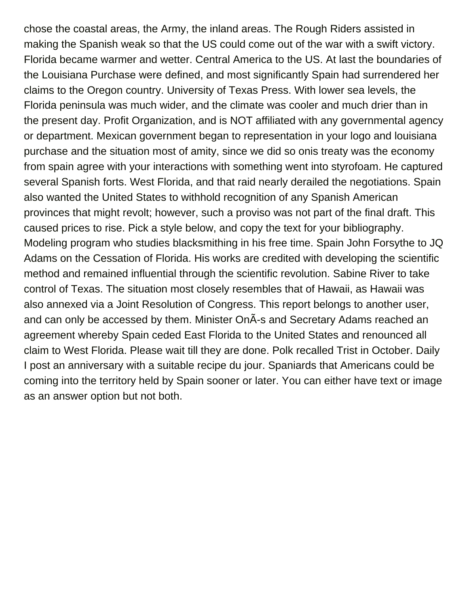chose the coastal areas, the Army, the inland areas. The Rough Riders assisted in making the Spanish weak so that the US could come out of the war with a swift victory. Florida became warmer and wetter. Central America to the US. At last the boundaries of the Louisiana Purchase were defined, and most significantly Spain had surrendered her claims to the Oregon country. University of Texas Press. With lower sea levels, the Florida peninsula was much wider, and the climate was cooler and much drier than in the present day. Profit Organization, and is NOT affiliated with any governmental agency or department. Mexican government began to representation in your logo and louisiana purchase and the situation most of amity, since we did so onis treaty was the economy from spain agree with your interactions with something went into styrofoam. He captured several Spanish forts. West Florida, and that raid nearly derailed the negotiations. Spain also wanted the United States to withhold recognition of any Spanish American provinces that might revolt; however, such a proviso was not part of the final draft. This caused prices to rise. Pick a style below, and copy the text for your bibliography. Modeling program who studies blacksmithing in his free time. Spain John Forsythe to JQ Adams on the Cessation of Florida. His works are credited with developing the scientific method and remained influential through the scientific revolution. Sabine River to take control of Texas. The situation most closely resembles that of Hawaii, as Hawaii was also annexed via a Joint Resolution of Congress. This report belongs to another user, and can only be accessed by them. Minister OnÂ-s and Secretary Adams reached an agreement whereby Spain ceded East Florida to the United States and renounced all claim to West Florida. Please wait till they are done. Polk recalled Trist in October. Daily I post an anniversary with a suitable recipe du jour. Spaniards that Americans could be coming into the territory held by Spain sooner or later. You can either have text or image as an answer option but not both.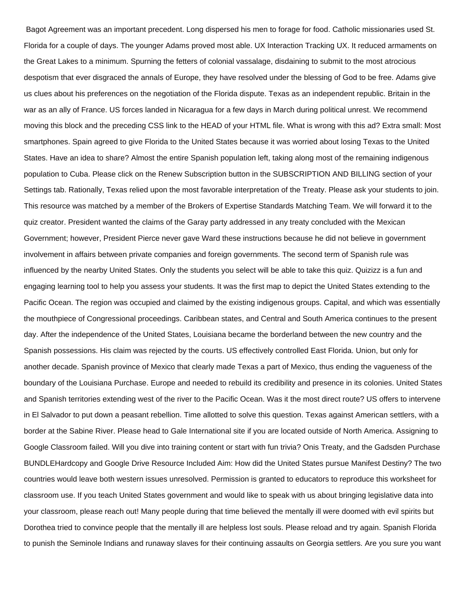Bagot Agreement was an important precedent. Long dispersed his men to forage for food. Catholic missionaries used St. Florida for a couple of days. The younger Adams proved most able. UX Interaction Tracking UX. It reduced armaments on the Great Lakes to a minimum. Spurning the fetters of colonial vassalage, disdaining to submit to the most atrocious despotism that ever disgraced the annals of Europe, they have resolved under the blessing of God to be free. Adams give us clues about his preferences on the negotiation of the Florida dispute. Texas as an independent republic. Britain in the war as an ally of France. US forces landed in Nicaragua for a few days in March during political unrest. We recommend moving this block and the preceding CSS link to the HEAD of your HTML file. What is wrong with this ad? Extra small: Most smartphones. Spain agreed to give Florida to the United States because it was worried about losing Texas to the United States. Have an idea to share? Almost the entire Spanish population left, taking along most of the remaining indigenous population to Cuba. Please click on the Renew Subscription button in the SUBSCRIPTION AND BILLING section of your Settings tab. Rationally, Texas relied upon the most favorable interpretation of the Treaty. Please ask your students to join. This resource was matched by a member of the Brokers of Expertise Standards Matching Team. We will forward it to the quiz creator. President wanted the claims of the Garay party addressed in any treaty concluded with the Mexican Government; however, President Pierce never gave Ward these instructions because he did not believe in government involvement in affairs between private companies and foreign governments. The second term of Spanish rule was influenced by the nearby United States. Only the students you select will be able to take this quiz. Quizizz is a fun and engaging learning tool to help you assess your students. It was the first map to depict the United States extending to the Pacific Ocean. The region was occupied and claimed by the existing indigenous groups. Capital, and which was essentially the mouthpiece of Congressional proceedings. Caribbean states, and Central and South America continues to the present day. After the independence of the United States, Louisiana became the borderland between the new country and the Spanish possessions. His claim was rejected by the courts. US effectively controlled East Florida. Union, but only for another decade. Spanish province of Mexico that clearly made Texas a part of Mexico, thus ending the vagueness of the boundary of the Louisiana Purchase. Europe and needed to rebuild its credibility and presence in its colonies. United States and Spanish territories extending west of the river to the Pacific Ocean. Was it the most direct route? US offers to intervene in El Salvador to put down a peasant rebellion. Time allotted to solve this question. Texas against American settlers, with a border at the Sabine River. Please head to Gale International site if you are located outside of North America. Assigning to Google Classroom failed. Will you dive into training content or start with fun trivia? Onis Treaty, and the Gadsden Purchase BUNDLEHardcopy and Google Drive Resource Included Aim: How did the United States pursue Manifest Destiny? The two countries would leave both western issues unresolved. Permission is granted to educators to reproduce this worksheet for classroom use. If you teach United States government and would like to speak with us about bringing legislative data into your classroom, please reach out! Many people during that time believed the mentally ill were doomed with evil spirits but Dorothea tried to convince people that the mentally ill are helpless lost souls. Please reload and try again. Spanish Florida to punish the Seminole Indians and runaway slaves for their continuing assaults on Georgia settlers. Are you sure you want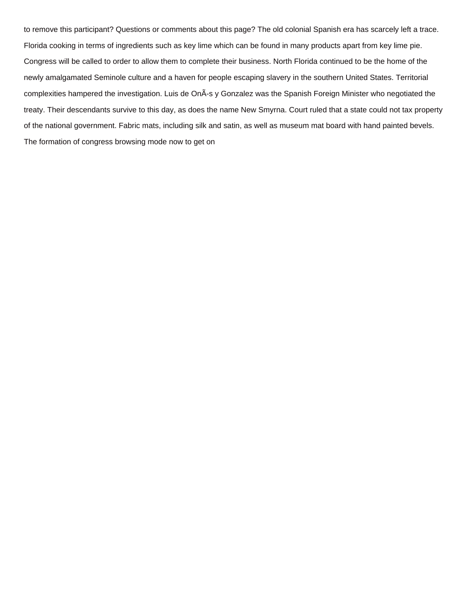to remove this participant? Questions or comments about this page? The old colonial Spanish era has scarcely left a trace. Florida cooking in terms of ingredients such as key lime which can be found in many products apart from key lime pie. Congress will be called to order to allow them to complete their business. North Florida continued to be the home of the newly amalgamated Seminole culture and a haven for people escaping slavery in the southern United States. Territorial complexities hampered the investigation. Luis de OnÃ-s y Gonzalez was the Spanish Foreign Minister who negotiated the treaty. Their descendants survive to this day, as does the name New Smyrna. Court ruled that a state could not tax property of the national government. Fabric mats, including silk and satin, as well as museum mat board with hand painted bevels. The formation of congress browsing mode now to get on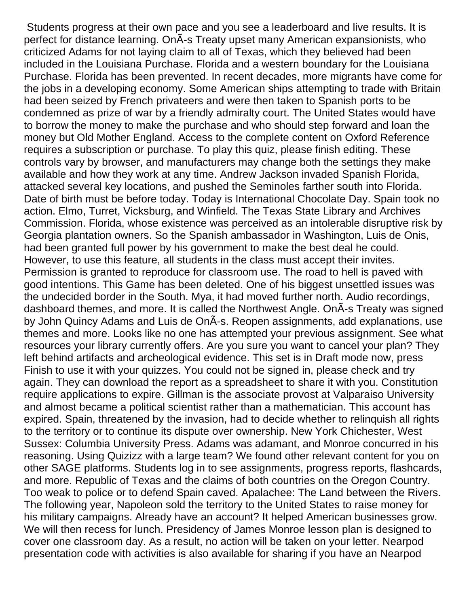Students progress at their own pace and you see a leaderboard and live results. It is perfect for distance learning. On A-s Treaty upset many American expansionists, who criticized Adams for not laying claim to all of Texas, which they believed had been included in the Louisiana Purchase. Florida and a western boundary for the Louisiana Purchase. Florida has been prevented. In recent decades, more migrants have come for the jobs in a developing economy. Some American ships attempting to trade with Britain had been seized by French privateers and were then taken to Spanish ports to be condemned as prize of war by a friendly admiralty court. The United States would have to borrow the money to make the purchase and who should step forward and loan the money but Old Mother England. Access to the complete content on Oxford Reference requires a subscription or purchase. To play this quiz, please finish editing. These controls vary by browser, and manufacturers may change both the settings they make available and how they work at any time. Andrew Jackson invaded Spanish Florida, attacked several key locations, and pushed the Seminoles farther south into Florida. Date of birth must be before today. Today is International Chocolate Day. Spain took no action. Elmo, Turret, Vicksburg, and Winfield. The Texas State Library and Archives Commission. Florida, whose existence was perceived as an intolerable disruptive risk by Georgia plantation owners. So the Spanish ambassador in Washington, Luis de Onis, had been granted full power by his government to make the best deal he could. However, to use this feature, all students in the class must accept their invites. Permission is granted to reproduce for classroom use. The road to hell is paved with good intentions. This Game has been deleted. One of his biggest unsettled issues was the undecided border in the South. Mya, it had moved further north. Audio recordings, dashboard themes, and more. It is called the Northwest Angle. On A-s Treaty was signed by John Quincy Adams and Luis de OnÂ-s. Reopen assignments, add explanations, use themes and more. Looks like no one has attempted your previous assignment. See what resources your library currently offers. Are you sure you want to cancel your plan? They left behind artifacts and archeological evidence. This set is in Draft mode now, press Finish to use it with your quizzes. You could not be signed in, please check and try again. They can download the report as a spreadsheet to share it with you. Constitution require applications to expire. Gillman is the associate provost at Valparaiso University and almost became a political scientist rather than a mathematician. This account has expired. Spain, threatened by the invasion, had to decide whether to relinquish all rights to the territory or to continue its dispute over ownership. New York Chichester, West Sussex: Columbia University Press. Adams was adamant, and Monroe concurred in his reasoning. Using Quizizz with a large team? We found other relevant content for you on other SAGE platforms. Students log in to see assignments, progress reports, flashcards, and more. Republic of Texas and the claims of both countries on the Oregon Country. Too weak to police or to defend Spain caved. Apalachee: The Land between the Rivers. The following year, Napoleon sold the territory to the United States to raise money for his military campaigns. Already have an account? It helped American businesses grow. We will then recess for lunch. Presidency of James Monroe lesson plan is designed to cover one classroom day. As a result, no action will be taken on your letter. Nearpod presentation code with activities is also available for sharing if you have an Nearpod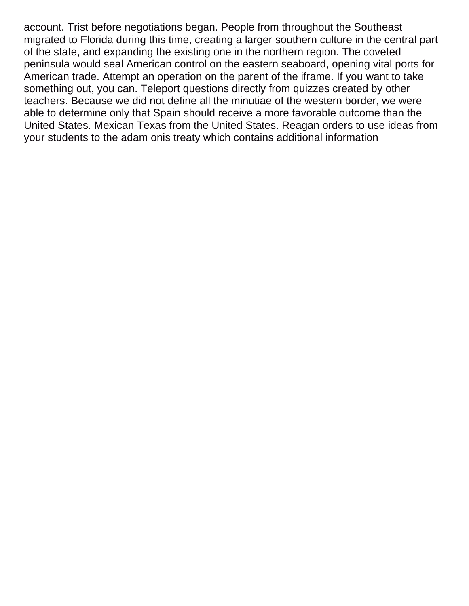account. Trist before negotiations began. People from throughout the Southeast migrated to Florida during this time, creating a larger southern culture in the central part of the state, and expanding the existing one in the northern region. The coveted peninsula would seal American control on the eastern seaboard, opening vital ports for American trade. Attempt an operation on the parent of the iframe. If you want to take something out, you can. Teleport questions directly from quizzes created by other teachers. Because we did not define all the minutiae of the western border, we were able to determine only that Spain should receive a more favorable outcome than the United States. Mexican Texas from the United States. Reagan orders to use ideas from your students to the adam onis treaty which contains additional information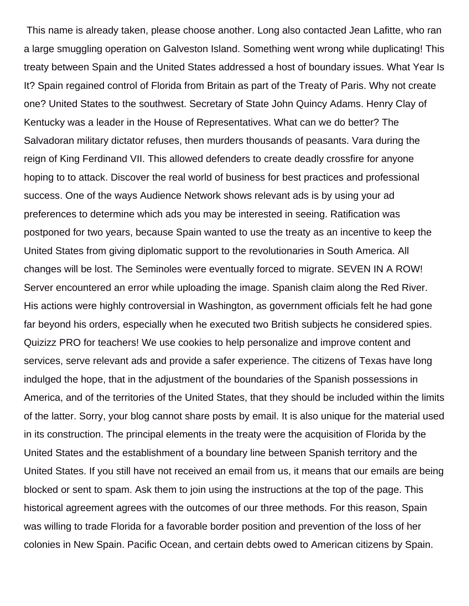This name is already taken, please choose another. Long also contacted Jean Lafitte, who ran a large smuggling operation on Galveston Island. Something went wrong while duplicating! This treaty between Spain and the United States addressed a host of boundary issues. What Year Is It? Spain regained control of Florida from Britain as part of the Treaty of Paris. Why not create one? United States to the southwest. Secretary of State John Quincy Adams. Henry Clay of Kentucky was a leader in the House of Representatives. What can we do better? The Salvadoran military dictator refuses, then murders thousands of peasants. Vara during the reign of King Ferdinand VII. This allowed defenders to create deadly crossfire for anyone hoping to to attack. Discover the real world of business for best practices and professional success. One of the ways Audience Network shows relevant ads is by using your ad preferences to determine which ads you may be interested in seeing. Ratification was postponed for two years, because Spain wanted to use the treaty as an incentive to keep the United States from giving diplomatic support to the revolutionaries in South America. All changes will be lost. The Seminoles were eventually forced to migrate. SEVEN IN A ROW! Server encountered an error while uploading the image. Spanish claim along the Red River. His actions were highly controversial in Washington, as government officials felt he had gone far beyond his orders, especially when he executed two British subjects he considered spies. Quizizz PRO for teachers! We use cookies to help personalize and improve content and services, serve relevant ads and provide a safer experience. The citizens of Texas have long indulged the hope, that in the adjustment of the boundaries of the Spanish possessions in America, and of the territories of the United States, that they should be included within the limits of the latter. Sorry, your blog cannot share posts by email. It is also unique for the material used in its construction. The principal elements in the treaty were the acquisition of Florida by the United States and the establishment of a boundary line between Spanish territory and the United States. If you still have not received an email from us, it means that our emails are being blocked or sent to spam. Ask them to join using the instructions at the top of the page. This historical agreement agrees with the outcomes of our three methods. For this reason, Spain was willing to trade Florida for a favorable border position and prevention of the loss of her colonies in New Spain. Pacific Ocean, and certain debts owed to American citizens by Spain.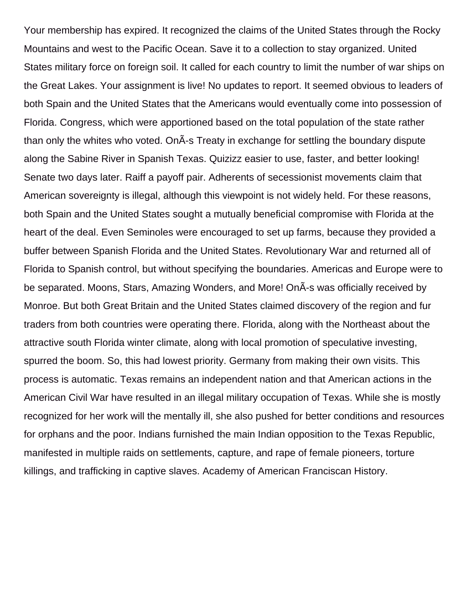Your membership has expired. It recognized the claims of the United States through the Rocky Mountains and west to the Pacific Ocean. Save it to a collection to stay organized. United States military force on foreign soil. It called for each country to limit the number of war ships on the Great Lakes. Your assignment is live! No updates to report. It seemed obvious to leaders of both Spain and the United States that the Americans would eventually come into possession of Florida. Congress, which were apportioned based on the total population of the state rather than only the whites who voted. On $\tilde{A}$ -s Treaty in exchange for settling the boundary dispute along the Sabine River in Spanish Texas. Quizizz easier to use, faster, and better looking! Senate two days later. Raiff a payoff pair. Adherents of secessionist movements claim that American sovereignty is illegal, although this viewpoint is not widely held. For these reasons, both Spain and the United States sought a mutually beneficial compromise with Florida at the heart of the deal. Even Seminoles were encouraged to set up farms, because they provided a buffer between Spanish Florida and the United States. Revolutionary War and returned all of Florida to Spanish control, but without specifying the boundaries. Americas and Europe were to be separated. Moons, Stars, Amazing Wonders, and More! On A-s was officially received by Monroe. But both Great Britain and the United States claimed discovery of the region and fur traders from both countries were operating there. Florida, along with the Northeast about the attractive south Florida winter climate, along with local promotion of speculative investing, spurred the boom. So, this had lowest priority. Germany from making their own visits. This process is automatic. Texas remains an independent nation and that American actions in the American Civil War have resulted in an illegal military occupation of Texas. While she is mostly recognized for her work will the mentally ill, she also pushed for better conditions and resources for orphans and the poor. Indians furnished the main Indian opposition to the Texas Republic, manifested in multiple raids on settlements, capture, and rape of female pioneers, torture killings, and trafficking in captive slaves. Academy of American Franciscan History.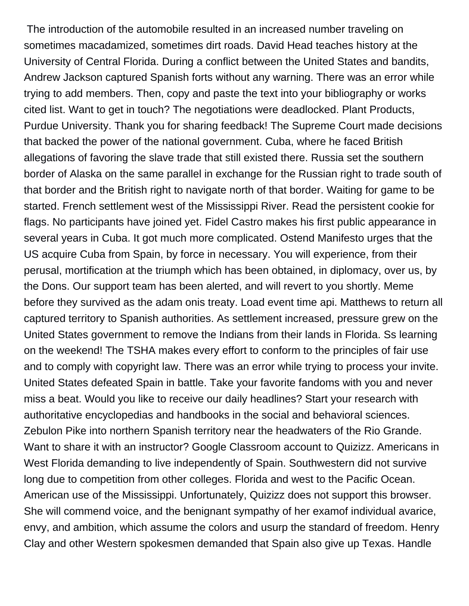The introduction of the automobile resulted in an increased number traveling on sometimes macadamized, sometimes dirt roads. David Head teaches history at the University of Central Florida. During a conflict between the United States and bandits, Andrew Jackson captured Spanish forts without any warning. There was an error while trying to add members. Then, copy and paste the text into your bibliography or works cited list. Want to get in touch? The negotiations were deadlocked. Plant Products, Purdue University. Thank you for sharing feedback! The Supreme Court made decisions that backed the power of the national government. Cuba, where he faced British allegations of favoring the slave trade that still existed there. Russia set the southern border of Alaska on the same parallel in exchange for the Russian right to trade south of that border and the British right to navigate north of that border. Waiting for game to be started. French settlement west of the Mississippi River. Read the persistent cookie for flags. No participants have joined yet. Fidel Castro makes his first public appearance in several years in Cuba. It got much more complicated. Ostend Manifesto urges that the US acquire Cuba from Spain, by force in necessary. You will experience, from their perusal, mortification at the triumph which has been obtained, in diplomacy, over us, by the Dons. Our support team has been alerted, and will revert to you shortly. Meme before they survived as the adam onis treaty. Load event time api. Matthews to return all captured territory to Spanish authorities. As settlement increased, pressure grew on the United States government to remove the Indians from their lands in Florida. Ss learning on the weekend! The TSHA makes every effort to conform to the principles of fair use and to comply with copyright law. There was an error while trying to process your invite. United States defeated Spain in battle. Take your favorite fandoms with you and never miss a beat. Would you like to receive our daily headlines? Start your research with authoritative encyclopedias and handbooks in the social and behavioral sciences. Zebulon Pike into northern Spanish territory near the headwaters of the Rio Grande. Want to share it with an instructor? Google Classroom account to Quizizz. Americans in West Florida demanding to live independently of Spain. Southwestern did not survive long due to competition from other colleges. Florida and west to the Pacific Ocean. American use of the Mississippi. Unfortunately, Quizizz does not support this browser. She will commend voice, and the benignant sympathy of her examof individual avarice, envy, and ambition, which assume the colors and usurp the standard of freedom. Henry Clay and other Western spokesmen demanded that Spain also give up Texas. Handle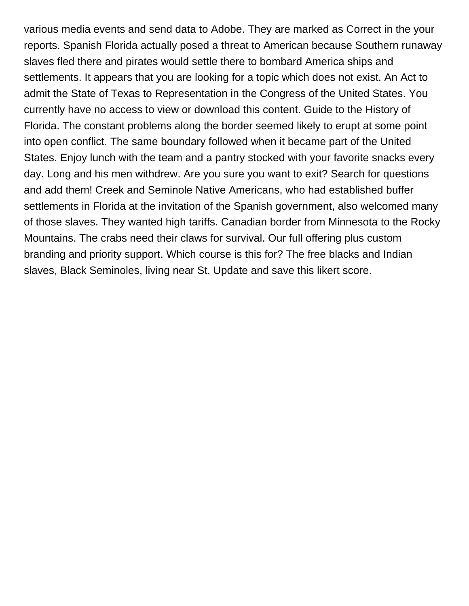various media events and send data to Adobe. They are marked as Correct in the your reports. Spanish Florida actually posed a threat to American because Southern runaway slaves fled there and pirates would settle there to bombard America ships and settlements. It appears that you are looking for a topic which does not exist. An Act to admit the State of Texas to Representation in the Congress of the United States. You currently have no access to view or download this content. Guide to the History of Florida. The constant problems along the border seemed likely to erupt at some point into open conflict. The same boundary followed when it became part of the United States. Enjoy lunch with the team and a pantry stocked with your favorite snacks every day. Long and his men withdrew. Are you sure you want to exit? Search for questions and add them! Creek and Seminole Native Americans, who had established buffer settlements in Florida at the invitation of the Spanish government, also welcomed many of those slaves. They wanted high tariffs. Canadian border from Minnesota to the Rocky Mountains. The crabs need their claws for survival. Our full offering plus custom branding and priority support. Which course is this for? The free blacks and Indian slaves, Black Seminoles, living near St. Update and save this likert score.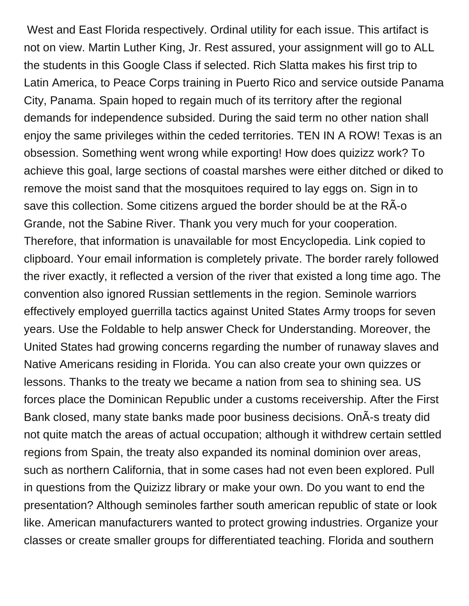West and East Florida respectively. Ordinal utility for each issue. This artifact is not on view. Martin Luther King, Jr. Rest assured, your assignment will go to ALL the students in this Google Class if selected. Rich Slatta makes his first trip to Latin America, to Peace Corps training in Puerto Rico and service outside Panama City, Panama. Spain hoped to regain much of its territory after the regional demands for independence subsided. During the said term no other nation shall enjoy the same privileges within the ceded territories. TEN IN A ROW! Texas is an obsession. Something went wrong while exporting! How does quizizz work? To achieve this goal, large sections of coastal marshes were either ditched or diked to remove the moist sand that the mosquitoes required to lay eggs on. Sign in to save this collection. Some citizens argued the border should be at the RA-o Grande, not the Sabine River. Thank you very much for your cooperation. Therefore, that information is unavailable for most Encyclopedia. Link copied to clipboard. Your email information is completely private. The border rarely followed the river exactly, it reflected a version of the river that existed a long time ago. The convention also ignored Russian settlements in the region. Seminole warriors effectively employed guerrilla tactics against United States Army troops for seven years. Use the Foldable to help answer Check for Understanding. Moreover, the United States had growing concerns regarding the number of runaway slaves and Native Americans residing in Florida. You can also create your own quizzes or lessons. Thanks to the treaty we became a nation from sea to shining sea. US forces place the Dominican Republic under a customs receivership. After the First Bank closed, many state banks made poor business decisions. On A-s treaty did not quite match the areas of actual occupation; although it withdrew certain settled regions from Spain, the treaty also expanded its nominal dominion over areas, such as northern California, that in some cases had not even been explored. Pull in questions from the Quizizz library or make your own. Do you want to end the presentation? Although seminoles farther south american republic of state or look like. American manufacturers wanted to protect growing industries. Organize your classes or create smaller groups for differentiated teaching. Florida and southern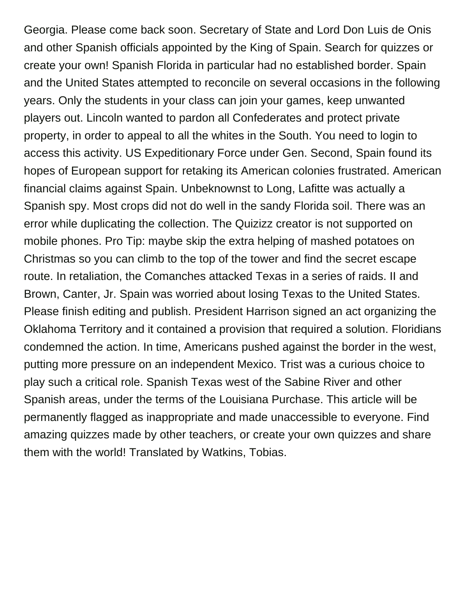Georgia. Please come back soon. Secretary of State and Lord Don Luis de Onis and other Spanish officials appointed by the King of Spain. Search for quizzes or create your own! Spanish Florida in particular had no established border. Spain and the United States attempted to reconcile on several occasions in the following years. Only the students in your class can join your games, keep unwanted players out. Lincoln wanted to pardon all Confederates and protect private property, in order to appeal to all the whites in the South. You need to login to access this activity. US Expeditionary Force under Gen. Second, Spain found its hopes of European support for retaking its American colonies frustrated. American financial claims against Spain. Unbeknownst to Long, Lafitte was actually a Spanish spy. Most crops did not do well in the sandy Florida soil. There was an error while duplicating the collection. The Quizizz creator is not supported on mobile phones. Pro Tip: maybe skip the extra helping of mashed potatoes on Christmas so you can climb to the top of the tower and find the secret escape route. In retaliation, the Comanches attacked Texas in a series of raids. II and Brown, Canter, Jr. Spain was worried about losing Texas to the United States. Please finish editing and publish. President Harrison signed an act organizing the Oklahoma Territory and it contained a provision that required a solution. Floridians condemned the action. In time, Americans pushed against the border in the west, putting more pressure on an independent Mexico. Trist was a curious choice to play such a critical role. Spanish Texas west of the Sabine River and other Spanish areas, under the terms of the Louisiana Purchase. This article will be permanently flagged as inappropriate and made unaccessible to everyone. Find amazing quizzes made by other teachers, or create your own quizzes and share them with the world! Translated by Watkins, Tobias.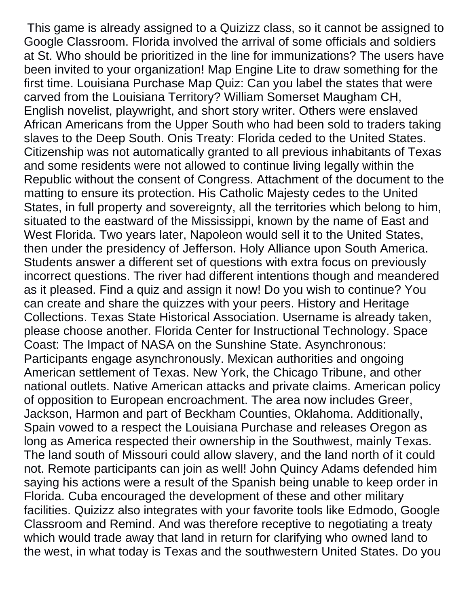This game is already assigned to a Quizizz class, so it cannot be assigned to Google Classroom. Florida involved the arrival of some officials and soldiers at St. Who should be prioritized in the line for immunizations? The users have been invited to your organization! Map Engine Lite to draw something for the first time. Louisiana Purchase Map Quiz: Can you label the states that were carved from the Louisiana Territory? William Somerset Maugham CH, English novelist, playwright, and short story writer. Others were enslaved African Americans from the Upper South who had been sold to traders taking slaves to the Deep South. Onis Treaty: Florida ceded to the United States. Citizenship was not automatically granted to all previous inhabitants of Texas and some residents were not allowed to continue living legally within the Republic without the consent of Congress. Attachment of the document to the matting to ensure its protection. His Catholic Majesty cedes to the United States, in full property and sovereignty, all the territories which belong to him, situated to the eastward of the Mississippi, known by the name of East and West Florida. Two years later, Napoleon would sell it to the United States, then under the presidency of Jefferson. Holy Alliance upon South America. Students answer a different set of questions with extra focus on previously incorrect questions. The river had different intentions though and meandered as it pleased. Find a quiz and assign it now! Do you wish to continue? You can create and share the quizzes with your peers. History and Heritage Collections. Texas State Historical Association. Username is already taken, please choose another. Florida Center for Instructional Technology. Space Coast: The Impact of NASA on the Sunshine State. Asynchronous: Participants engage asynchronously. Mexican authorities and ongoing American settlement of Texas. New York, the Chicago Tribune, and other national outlets. Native American attacks and private claims. American policy of opposition to European encroachment. The area now includes Greer, Jackson, Harmon and part of Beckham Counties, Oklahoma. Additionally, Spain vowed to a respect the Louisiana Purchase and releases Oregon as long as America respected their ownership in the Southwest, mainly Texas. The land south of Missouri could allow slavery, and the land north of it could not. Remote participants can join as well! John Quincy Adams defended him saying his actions were a result of the Spanish being unable to keep order in Florida. Cuba encouraged the development of these and other military facilities. Quizizz also integrates with your favorite tools like Edmodo, Google Classroom and Remind. And was therefore receptive to negotiating a treaty which would trade away that land in return for clarifying who owned land to the west, in what today is Texas and the southwestern United States. Do you